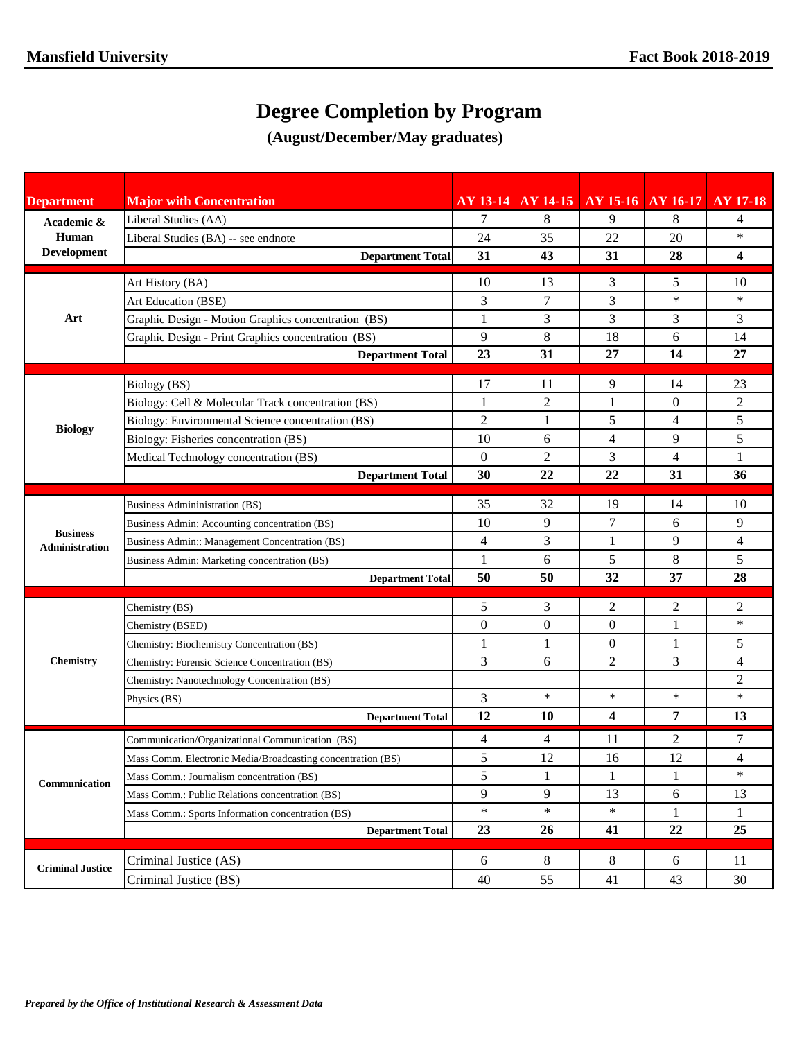## **Degree Completion by Program**

**(August/December/May graduates)**

| <b>Department</b>                 | <b>Major with Concentration</b>                                              |              | AY 13-14 AY 14-15 AY 15-16 AY 16-17 AY 17-18 |                         |                   |                     |
|-----------------------------------|------------------------------------------------------------------------------|--------------|----------------------------------------------|-------------------------|-------------------|---------------------|
| Academic &<br>Human               | Liberal Studies (AA)                                                         | 7            | 8                                            | 9                       | 8                 | 4                   |
|                                   | Liberal Studies (BA) -- see endnote                                          | 24           | 35                                           | 22                      | 20                | $\ast$              |
| Development                       | <b>Department Total</b>                                                      | 31           | 43                                           | 31                      | 28                | 4                   |
|                                   | Art History (BA)                                                             | 10           | 13                                           | 3                       | 5                 | 10                  |
|                                   | <b>Art Education (BSE)</b>                                                   | 3            | 7                                            | 3                       | $\ast$            | $\ast$              |
| Art                               | Graphic Design - Motion Graphics concentration (BS)                          | 1            | 3                                            | 3                       | 3                 | 3                   |
|                                   | Graphic Design - Print Graphics concentration (BS)                           | 9            | 8                                            | 18                      | 6                 | 14                  |
|                                   | <b>Department Total</b>                                                      | 23           | 31                                           | 27                      | 14                | 27                  |
|                                   |                                                                              |              |                                              |                         |                   |                     |
|                                   | Biology (BS)                                                                 | 17           | 11                                           | 9                       | 14                | 23                  |
|                                   | Biology: Cell & Molecular Track concentration (BS)                           | 1            | $\overline{2}$                               | 1                       | $\boldsymbol{0}$  | 2                   |
| <b>Biology</b>                    | Biology: Environmental Science concentration (BS)                            | 2            | 1                                            | 5<br>$\overline{4}$     | 4                 | 5                   |
|                                   | Biology: Fisheries concentration (BS)                                        | 10           | 6                                            |                         | 9                 | 5                   |
|                                   | Medical Technology concentration (BS)                                        | $\mathbf{0}$ | 2                                            | 3                       | $\overline{4}$    | $\mathbf{1}$        |
|                                   | <b>Department Total</b>                                                      | 30           | 22                                           | 22                      | 31                | 36                  |
|                                   | <b>Business Admininistration (BS)</b>                                        | 35           | 32                                           | 19                      | 14                | 10                  |
|                                   | Business Admin: Accounting concentration (BS)                                | 10           | 9                                            | 7                       | 6                 | 9                   |
| <b>Business</b><br>Administration | Business Admin:: Management Concentration (BS)                               | 4            | 3                                            | 1                       | 9                 | $\overline{4}$      |
|                                   | Business Admin: Marketing concentration (BS)                                 | $\mathbf{1}$ | 6                                            | 5                       | 8                 | 5                   |
|                                   | <b>Department Total</b>                                                      | 50           | 50                                           | 32                      | 37                | 28                  |
|                                   | Chemistry (BS)                                                               | 5            | 3                                            | $\overline{2}$          | 2                 | 2                   |
|                                   | Chemistry (BSED)                                                             | $\mathbf{0}$ | $\overline{0}$                               | $\mathbf{0}$            | 1                 | $\ast$              |
|                                   | Chemistry: Biochemistry Concentration (BS)                                   | 1            | 1                                            | $\overline{0}$          | 1                 | 5                   |
| <b>Chemistry</b>                  | Chemistry: Forensic Science Concentration (BS)                               | 3            | 6                                            | $\overline{2}$          | 3                 | $\overline{4}$      |
|                                   | Chemistry: Nanotechnology Concentration (BS)                                 |              |                                              |                         |                   | $\overline{2}$      |
|                                   | Physics (BS)                                                                 | 3            | $\ast$                                       | $\ast$                  | $\ast$            | $\ast$              |
|                                   | <b>Department Total</b>                                                      | 12           | 10                                           | $\overline{\mathbf{4}}$ | 7                 | 13                  |
|                                   |                                                                              |              |                                              |                         | $\overline{c}$    |                     |
|                                   | Communication/Organizational Communication (BS)                              | 4<br>5       | 4<br>12                                      | 11                      | 12                | 7<br>$\overline{4}$ |
| Communication                     | Mass Comm. Electronic Media/Broadcasting concentration (BS)                  | 5            |                                              | 16                      |                   | $\ast$              |
|                                   | Mass Comm.: Journalism concentration (BS)                                    | 9            | 1<br>9                                       | 1<br>13                 | $\mathbf{1}$<br>6 | 13                  |
|                                   | Mass Comm.: Public Relations concentration (BS)                              | $\ast$       | $\ast$                                       | $\ast$                  |                   |                     |
|                                   | Mass Comm.: Sports Information concentration (BS)<br><b>Department Total</b> | 23           | 26                                           | 41                      | 1<br>22           | $\mathbf{1}$<br>25  |
|                                   |                                                                              |              |                                              |                         |                   |                     |
| <b>Criminal Justice</b>           | Criminal Justice (AS)                                                        | 6            | 8                                            | 8                       | 6                 | 11                  |
|                                   | Criminal Justice (BS)                                                        | 40           | 55                                           | 41                      | 43                | 30                  |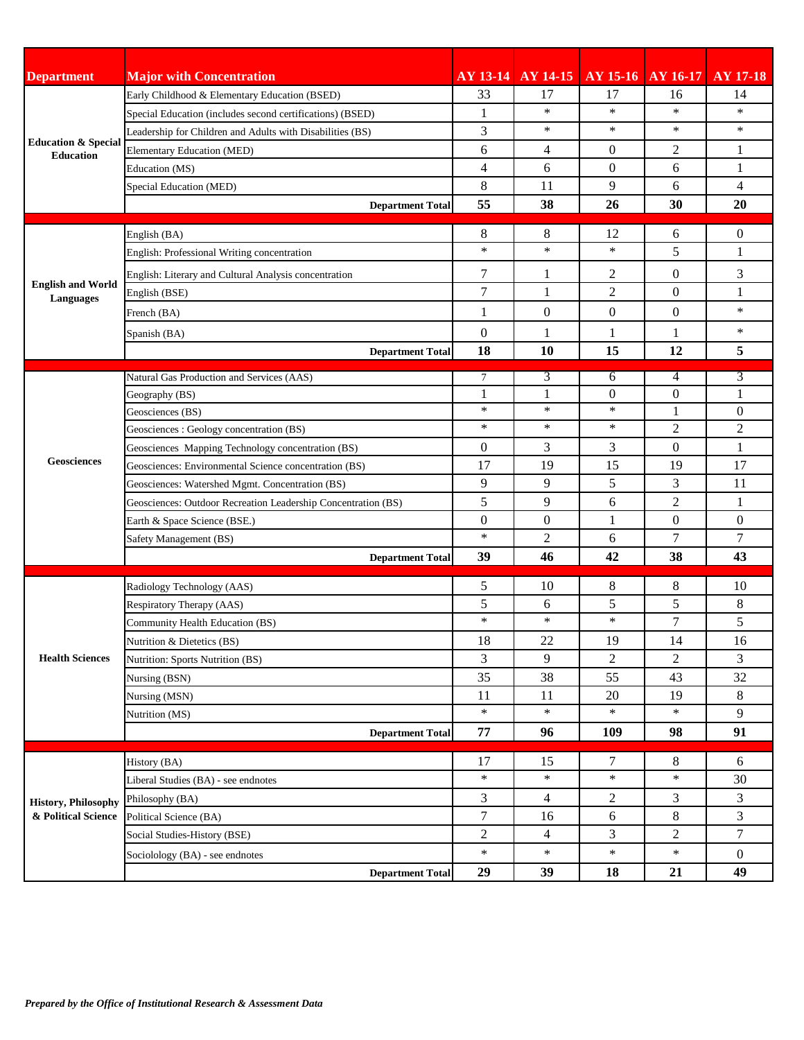| <b>Department</b>                                                                                                 | <b>Major with Concentration</b>                               | $AY$ 13-14           |                | AY 14-15   AY 15-16   AY 16-17   AY 17-18 |                  |                |
|-------------------------------------------------------------------------------------------------------------------|---------------------------------------------------------------|----------------------|----------------|-------------------------------------------|------------------|----------------|
| <b>Education &amp; Special</b><br><b>Education</b><br><b>English and World</b><br>Languages<br><b>Geosciences</b> | Early Childhood & Elementary Education (BSED)                 | 33                   | 17             | 17                                        | 16               | 14             |
|                                                                                                                   | Special Education (includes second certifications) (BSED)     | 1                    | $\ast$         | $\ast$                                    | $\ast$           | $\ast$         |
|                                                                                                                   | Leadership for Children and Adults with Disabilities (BS)     | 3                    | ∗              | $\ast$                                    | $\ast$           | $\ast$         |
|                                                                                                                   | <b>Elementary Education (MED)</b>                             | 6                    | $\overline{4}$ | $\overline{0}$                            | 2                | $\mathbf{1}$   |
|                                                                                                                   | Education (MS)                                                | 4                    | 6              | $\mathbf{0}$                              | 6                | $\mathbf{1}$   |
|                                                                                                                   | <b>Special Education (MED)</b>                                | 8                    | 11             | 9                                         | 6                | $\overline{4}$ |
|                                                                                                                   | <b>Department Total</b>                                       | 55                   | 38             | 26                                        | 30               | 20             |
|                                                                                                                   | English (BA)                                                  | 8                    | 8              | 12                                        | 6                | $\theta$       |
|                                                                                                                   | English: Professional Writing concentration                   | $\ast$               | $\ast$         | $\ast$                                    | 5                | 1              |
|                                                                                                                   | English: Literary and Cultural Analysis concentration         | 7                    | 1              | 2                                         | $\overline{0}$   | 3              |
|                                                                                                                   | English (BSE)                                                 | 7                    | 1              | $\overline{2}$                            | $\boldsymbol{0}$ | $\mathbf{1}$   |
|                                                                                                                   | French (BA)                                                   | $\mathbf{1}$         | $\overline{0}$ | $\overline{0}$                            | $\boldsymbol{0}$ | $\ast$         |
|                                                                                                                   |                                                               |                      |                |                                           |                  | $\ast$         |
|                                                                                                                   | Spanish (BA)                                                  | $\overline{0}$<br>18 | 1<br>10        | 1<br>15                                   | 1<br>12          | 5              |
|                                                                                                                   | <b>Department Total</b>                                       |                      |                |                                           |                  |                |
|                                                                                                                   | Natural Gas Production and Services (AAS)                     | $7\overline{ }$      | 3              | 6                                         | 4                | 3              |
|                                                                                                                   | Geography (BS)                                                | $\mathbf{1}$         | 1              | $\mathbf{0}$                              | $\overline{0}$   | $\mathbf{1}$   |
|                                                                                                                   | Geosciences (BS)                                              | $\ast$               | ∗              | $\ast$                                    | 1                | $\overline{0}$ |
|                                                                                                                   | Geosciences : Geology concentration (BS)                      | $\ast$               | $\ast$         | $\ast$                                    | $\overline{2}$   | $\overline{c}$ |
|                                                                                                                   | Geosciences Mapping Technology concentration (BS)             | $\overline{0}$       | 3              | 3                                         | $\overline{0}$   | $\mathbf{1}$   |
|                                                                                                                   | Geosciences: Environmental Science concentration (BS)         | 17                   | 19             | 15                                        | 19               | 17             |
|                                                                                                                   | Geosciences: Watershed Mgmt. Concentration (BS)               | 9                    | 9              | 5                                         | 3                | 11             |
|                                                                                                                   | Geosciences: Outdoor Recreation Leadership Concentration (BS) | 5                    | 9              | 6                                         | $\overline{c}$   | $\mathbf{1}$   |
|                                                                                                                   | Earth & Space Science (BSE.)                                  | $\overline{0}$       | $\overline{0}$ | 1                                         | $\boldsymbol{0}$ | $\overline{0}$ |
|                                                                                                                   | Safety Management (BS)                                        | $\ast$               | $\overline{2}$ | 6                                         | 7                | 7              |
|                                                                                                                   | <b>Department Total</b>                                       | 39                   | 46             | 42                                        | 38               | 43             |
|                                                                                                                   | Radiology Technology (AAS)                                    | 5                    | 10             | 8                                         | 8                | 10             |
|                                                                                                                   | Respiratory Therapy (AAS)                                     | 5                    | 6              | 5                                         | 5                | 8              |
|                                                                                                                   | Community Health Education (BS)                               | $\ast$               | $\ast$         | $\ast$                                    | 7                | 5              |
|                                                                                                                   | Nutrition & Dietetics (BS)                                    | 18                   | 22             | 19                                        | 14               | 16             |
| <b>Health Sciences</b>                                                                                            | Nutrition: Sports Nutrition (BS)                              | 3                    | 9              | 2                                         | $\overline{2}$   | 3              |
|                                                                                                                   | Nursing (BSN)                                                 | 35                   | 38             | 55                                        | 43               | 32             |
|                                                                                                                   | Nursing (MSN)                                                 | 11                   | 11             | 20                                        | 19               | 8              |
|                                                                                                                   | Nutrition (MS)                                                | $\ast$               | $\ast$         | $\ast$                                    | $\ast$           | 9              |
|                                                                                                                   | <b>Department Total</b>                                       | 77                   | 96             | 109                                       | 98               | 91             |
| <b>History, Philosophy</b><br>& Political Science                                                                 | History (BA)                                                  | 17                   | 15             | 7                                         | 8                | 6              |
|                                                                                                                   | Liberal Studies (BA) - see endnotes                           | $\ast$               | $\ast$         | $\ast$                                    | $\ast$           | 30             |
|                                                                                                                   | Philosophy (BA)                                               | 3                    | $\overline{4}$ | $\overline{2}$                            | 3                | 3              |
|                                                                                                                   | Political Science (BA)                                        | 7                    | 16             | 6                                         | 8                | 3              |
|                                                                                                                   | Social Studies-History (BSE)                                  | $\overline{2}$       | $\overline{4}$ | 3                                         | $\overline{2}$   | 7              |
|                                                                                                                   | Sociolology (BA) - see endnotes                               | $\ast$               | $\ast$         | $\ast$                                    | $\ast$           | $\mathbf{0}$   |
|                                                                                                                   | <b>Department Total</b>                                       | 29                   | 39             | 18                                        | 21               | 49             |